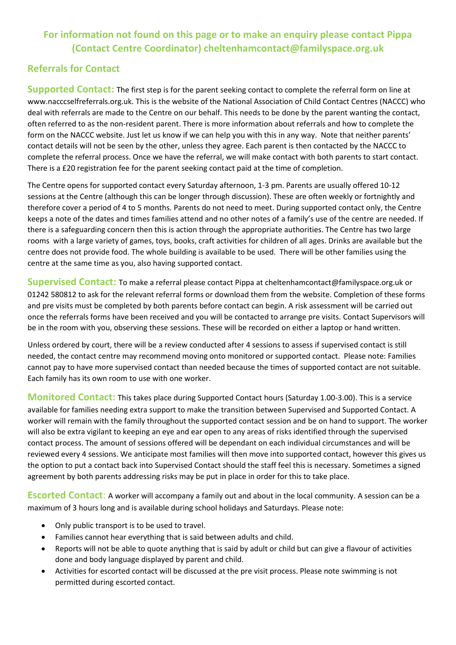## **For information not found on this page or to make an enquiry please contact Pippa (Contact Centre Coordinator) cheltenhamcontact@familyspace.org.uk**

## **Referrals for Contact**

**Supported Contact:** The first step is for the parent seeking contact to complete the referral form on line at www.nacccselfreferrals.org.uk. This is the website of the National Association of Child Contact Centres (NACCC) who deal with referrals are made to the Centre on our behalf. This needs to be done by the parent wanting the contact, often referred to as the non-resident parent. There is more information about referrals and how to complete the form on the NACCC website. Just let us know if we can help you with this in any way. Note that neither parents' contact details will not be seen by the other, unless they agree. Each parent is then contacted by the NACCC to complete the referral process. Once we have the referral, we will make contact with both parents to start contact. There is a £20 registration fee for the parent seeking contact paid at the time of completion.

The Centre opens for supported contact every Saturday afternoon, 1-3 pm. Parents are usually offered 10-12 sessions at the Centre (although this can be longer through discussion). These are often weekly or fortnightly and therefore cover a period of 4 to 5 months. Parents do not need to meet. During supported contact only, the Centre keeps a note of the dates and times families attend and no other notes of a family's use of the centre are needed. If there is a safeguarding concern then this is action through the appropriate authorities. The Centre has two large rooms with a large variety of games, toys, books, craft activities for children of all ages. Drinks are available but the centre does not provide food. The whole building is available to be used. There will be other families using the centre at the same time as you, also having supported contact.

**Supervised Contact:** To make a referral please contact Pippa at cheltenhamcontact@familyspace.org.uk or 01242 580812 to ask for the relevant referral forms or download them from the website. Completion of these forms and pre visits must be completed by both parents before contact can begin. A risk assessment will be carried out once the referrals forms have been received and you will be contacted to arrange pre visits. Contact Supervisors will be in the room with you, observing these sessions. These will be recorded on either a laptop or hand written.

Unless ordered by court, there will be a review conducted after 4 sessions to assess if supervised contact is still needed, the contact centre may recommend moving onto monitored or supported contact. Please note: Families cannot pay to have more supervised contact than needed because the times of supported contact are not suitable. Each family has its own room to use with one worker.

**Monitored Contact:** This takes place during Supported Contact hours (Saturday 1.00-3.00). This is a service available for families needing extra support to make the transition between Supervised and Supported Contact. A worker will remain with the family throughout the supported contact session and be on hand to support. The worker will also be extra vigilant to keeping an eye and ear open to any areas of risks identified through the supervised contact process. The amount of sessions offered will be dependant on each individual circumstances and will be reviewed every 4 sessions. We anticipate most families will then move into supported contact, however this gives us the option to put a contact back into Supervised Contact should the staff feel this is necessary. Sometimes a signed agreement by both parents addressing risks may be put in place in order for this to take place.

**Escorted Contact**: A worker will accompany a family out and about in the local community. A session can be a maximum of 3 hours long and is available during school holidays and Saturdays. Please note:

- Only public transport is to be used to travel.
- Families cannot hear everything that is said between adults and child.
- Reports will not be able to quote anything that is said by adult or child but can give a flavour of activities done and body language displayed by parent and child.
- Activities for escorted contact will be discussed at the pre visit process. Please note swimming is not permitted during escorted contact.